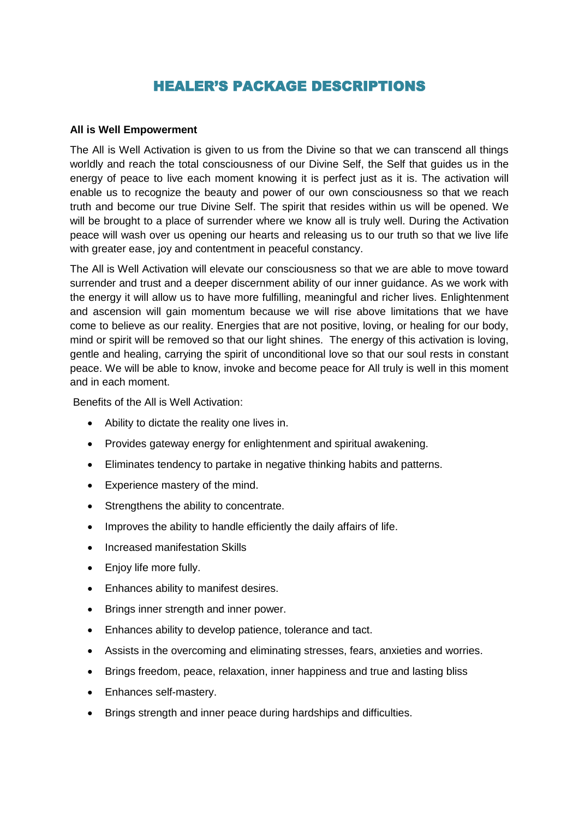# HEALER'S PACKAGE DESCRIPTIONS

#### **All is Well Empowerment**

The All is Well Activation is given to us from the Divine so that we can transcend all things worldly and reach the total consciousness of our Divine Self, the Self that guides us in the energy of peace to live each moment knowing it is perfect just as it is. The activation will enable us to recognize the beauty and power of our own consciousness so that we reach truth and become our true Divine Self. The spirit that resides within us will be opened. We will be brought to a place of surrender where we know all is truly well. During the Activation peace will wash over us opening our hearts and releasing us to our truth so that we live life with greater ease, joy and contentment in peaceful constancy.

The All is Well Activation will elevate our consciousness so that we are able to move toward surrender and trust and a deeper discernment ability of our inner guidance. As we work with the energy it will allow us to have more fulfilling, meaningful and richer lives. Enlightenment and ascension will gain momentum because we will rise above limitations that we have come to believe as our reality. Energies that are not positive, loving, or healing for our body, mind or spirit will be removed so that our light shines. The energy of this activation is loving, gentle and healing, carrying the spirit of unconditional love so that our soul rests in constant peace. We will be able to know, invoke and become peace for All truly is well in this moment and in each moment.

Benefits of the All is Well Activation:

- Ability to dictate the reality one lives in.
- Provides gateway energy for enlightenment and spiritual awakening.
- Eliminates tendency to partake in negative thinking habits and patterns.
- Experience mastery of the mind.
- Strengthens the ability to concentrate.
- Improves the ability to handle efficiently the daily affairs of life.
- Increased manifestation Skills
- Enjoy life more fully.
- Enhances ability to manifest desires.
- Brings inner strength and inner power.
- Enhances ability to develop patience, tolerance and tact.
- Assists in the overcoming and eliminating stresses, fears, anxieties and worries.
- Brings freedom, peace, relaxation, inner happiness and true and lasting bliss
- Enhances self-mastery.
- Brings strength and inner peace during hardships and difficulties.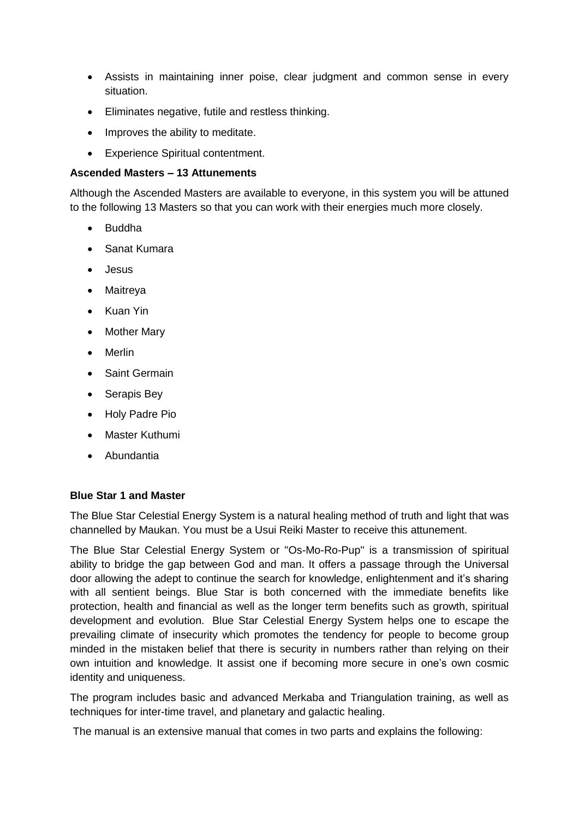- Assists in maintaining inner poise, clear judgment and common sense in every situation.
- Eliminates negative, futile and restless thinking.
- Improves the ability to meditate.
- Experience Spiritual contentment.

#### **Ascended Masters – 13 Attunements**

Although the Ascended Masters are available to everyone, in this system you will be attuned to the following 13 Masters so that you can work with their energies much more closely.

- Buddha
- Sanat Kumara
- Jesus
- Maitreya
- Kuan Yin
- Mother Mary
- Merlin
- Saint Germain
- Serapis Bey
- Holy Padre Pio
- Master Kuthumi
- Abundantia

#### **Blue Star 1 and Master**

The Blue Star Celestial Energy System is a natural healing method of truth and light that was channelled by Maukan. You must be a Usui Reiki Master to receive this attunement.

The Blue Star Celestial Energy System or "Os-Mo-Ro-Pup" is a transmission of spiritual ability to bridge the gap between God and man. It offers a passage through the Universal door allowing the adept to continue the search for knowledge, enlightenment and it's sharing with all sentient beings. Blue Star is both concerned with the immediate benefits like protection, health and financial as well as the longer term benefits such as growth, spiritual development and evolution. Blue Star Celestial Energy System helps one to escape the prevailing climate of insecurity which promotes the tendency for people to become group minded in the mistaken belief that there is security in numbers rather than relying on their own intuition and knowledge. It assist one if becoming more secure in one's own cosmic identity and uniqueness.

The program includes basic and advanced Merkaba and Triangulation training, as well as techniques for inter-time travel, and planetary and galactic healing.

The manual is an extensive manual that comes in two parts and explains the following: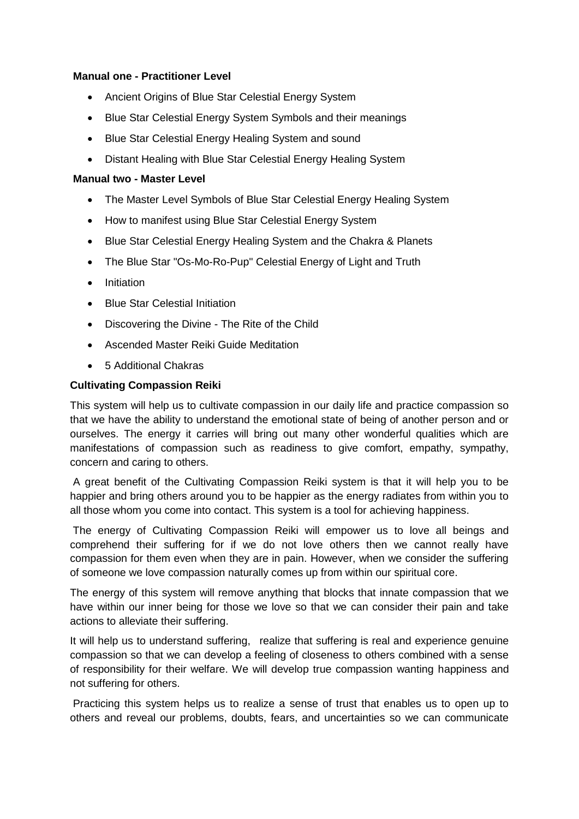#### **Manual one - Practitioner Level**

- Ancient Origins of Blue Star Celestial Energy System
- Blue Star Celestial Energy System Symbols and their meanings
- Blue Star Celestial Energy Healing System and sound
- Distant Healing with Blue Star Celestial Energy Healing System

#### **Manual two - Master Level**

- The Master Level Symbols of Blue Star Celestial Energy Healing System
- How to manifest using Blue Star Celestial Energy System
- Blue Star Celestial Energy Healing System and the Chakra & Planets
- The Blue Star "Os-Mo-Ro-Pup" Celestial Energy of Light and Truth
- Initiation
- Blue Star Celestial Initiation
- Discovering the Divine The Rite of the Child
- Ascended Master Reiki Guide Meditation
- 5 Additional Chakras

#### **Cultivating Compassion Reiki**

This system will help us to cultivate compassion in our daily life and practice compassion so that we have the ability to understand the emotional state of being of another person and or ourselves. The energy it carries will bring out many other wonderful qualities which are manifestations of compassion such as readiness to give comfort, empathy, sympathy, concern and caring to others.

A great benefit of the Cultivating Compassion Reiki system is that it will help you to be happier and bring others around you to be happier as the energy radiates from within you to all those whom you come into contact. This system is a tool for achieving happiness.

The energy of Cultivating Compassion Reiki will empower us to love all beings and comprehend their suffering for if we do not love others then we cannot really have compassion for them even when they are in pain. However, when we consider the suffering of someone we love compassion naturally comes up from within our spiritual core.

The energy of this system will remove anything that blocks that innate compassion that we have within our inner being for those we love so that we can consider their pain and take actions to alleviate their suffering.

It will help us to understand suffering, realize that suffering is real and experience genuine compassion so that we can develop a feeling of closeness to others combined with a sense of responsibility for their welfare. We will develop true compassion wanting happiness and not suffering for others.

Practicing this system helps us to realize a sense of trust that enables us to open up to others and reveal our problems, doubts, fears, and uncertainties so we can communicate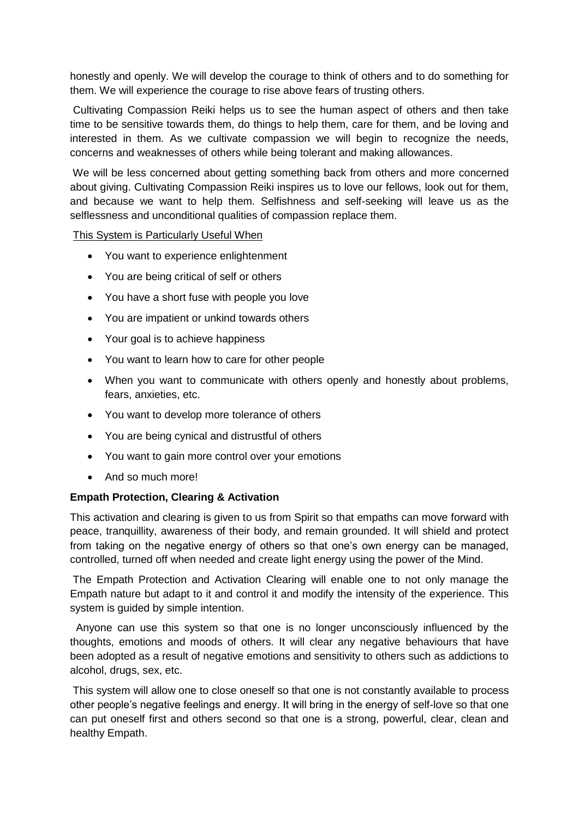honestly and openly. We will develop the courage to think of others and to do something for them. We will experience the courage to rise above fears of trusting others.

Cultivating Compassion Reiki helps us to see the human aspect of others and then take time to be sensitive towards them, do things to help them, care for them, and be loving and interested in them. As we cultivate compassion we will begin to recognize the needs, concerns and weaknesses of others while being tolerant and making allowances.

We will be less concerned about getting something back from others and more concerned about giving. Cultivating Compassion Reiki inspires us to love our fellows, look out for them, and because we want to help them. Selfishness and self-seeking will leave us as the selflessness and unconditional qualities of compassion replace them.

#### This System is Particularly Useful When

- You want to experience enlightenment
- You are being critical of self or others
- You have a short fuse with people you love
- You are impatient or unkind towards others
- Your goal is to achieve happiness
- You want to learn how to care for other people
- When you want to communicate with others openly and honestly about problems, fears, anxieties, etc.
- You want to develop more tolerance of others
- You are being cynical and distrustful of others
- You want to gain more control over your emotions
- And so much more!

#### **Empath Protection, Clearing & Activation**

This activation and clearing is given to us from Spirit so that empaths can move forward with peace, tranquillity, awareness of their body, and remain grounded. It will shield and protect from taking on the negative energy of others so that one's own energy can be managed, controlled, turned off when needed and create light energy using the power of the Mind.

The Empath Protection and Activation Clearing will enable one to not only manage the Empath nature but adapt to it and control it and modify the intensity of the experience. This system is guided by simple intention.

Anyone can use this system so that one is no longer unconsciously influenced by the thoughts, emotions and moods of others. It will clear any negative behaviours that have been adopted as a result of negative emotions and sensitivity to others such as addictions to alcohol, drugs, sex, etc.

This system will allow one to close oneself so that one is not constantly available to process other people's negative feelings and energy. It will bring in the energy of self-love so that one can put oneself first and others second so that one is a strong, powerful, clear, clean and healthy Empath.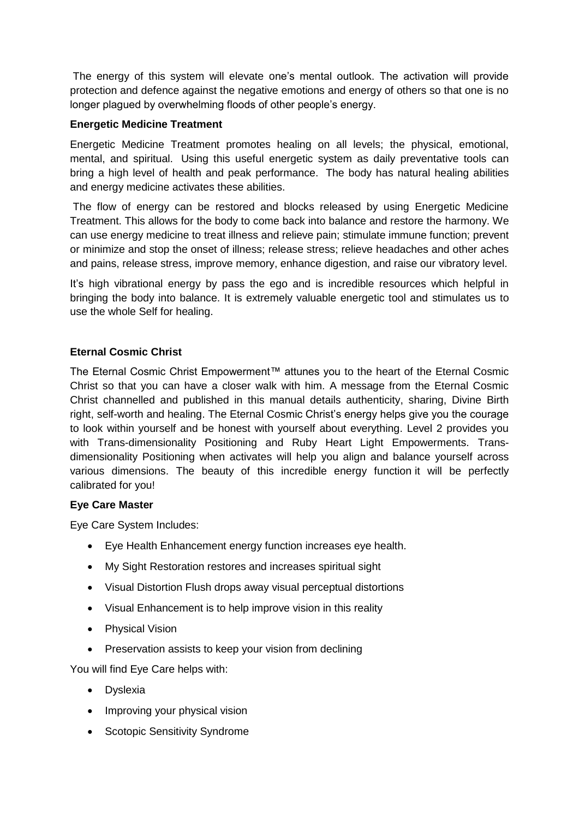The energy of this system will elevate one's mental outlook. The activation will provide protection and defence against the negative emotions and energy of others so that one is no longer plagued by overwhelming floods of other people's energy.

#### **Energetic Medicine Treatment**

Energetic Medicine Treatment promotes healing on all levels; the physical, emotional, mental, and spiritual. Using this useful energetic system as daily preventative tools can bring a high level of health and peak performance. The body has natural healing abilities and energy medicine activates these abilities.

The flow of energy can be restored and blocks released by using Energetic Medicine Treatment. This allows for the body to come back into balance and restore the harmony. We can use energy medicine to treat illness and relieve pain; stimulate immune function; prevent or minimize and stop the onset of illness; release stress; relieve headaches and other aches and pains, release stress, improve memory, enhance digestion, and raise our vibratory level.

It's high vibrational energy by pass the ego and is incredible resources which helpful in bringing the body into balance. It is extremely valuable energetic tool and stimulates us to use the whole Self for healing.

## **Eternal Cosmic Christ**

The Eternal Cosmic Christ Empowerment™ attunes you to the heart of the Eternal Cosmic Christ so that you can have a closer walk with him. A message from the Eternal Cosmic Christ channelled and published in this manual details authenticity, sharing, Divine Birth right, self-worth and healing. The Eternal Cosmic Christ's energy helps give you the courage to look within yourself and be honest with yourself about everything. Level 2 provides you with Trans-dimensionality Positioning and Ruby Heart Light Empowerments. Transdimensionality Positioning when activates will help you align and balance yourself across various dimensions. The beauty of this incredible energy function it will be perfectly calibrated for you!

#### **Eye Care Master**

Eye Care System Includes:

- Eye Health Enhancement energy function increases eye health.
- My Sight Restoration restores and increases spiritual sight
- Visual Distortion Flush drops away visual perceptual distortions
- Visual Enhancement is to help improve vision in this reality
- Physical Vision
- Preservation assists to keep your vision from declining

You will find Eye Care helps with:

- Dyslexia
- Improving your physical vision
- Scotopic Sensitivity Syndrome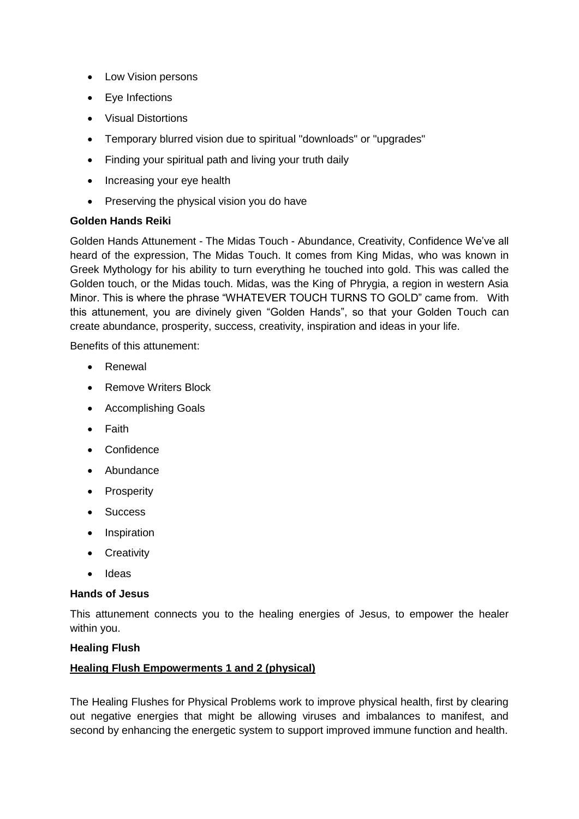- Low Vision persons
- Eye Infections
- Visual Distortions
- Temporary blurred vision due to spiritual "downloads" or "upgrades"
- Finding your spiritual path and living your truth daily
- Increasing your eye health
- Preserving the physical vision you do have

#### **Golden Hands Reiki**

Golden Hands Attunement - The Midas Touch - Abundance, Creativity, Confidence We've all heard of the expression, The Midas Touch. It comes from King Midas, who was known in Greek Mythology for his ability to turn everything he touched into gold. This was called the Golden touch, or the Midas touch. Midas, was the King of Phrygia, a region in western Asia Minor. This is where the phrase "WHATEVER TOUCH TURNS TO GOLD" came from. With this attunement, you are divinely given "Golden Hands", so that your Golden Touch can create abundance, prosperity, success, creativity, inspiration and ideas in your life.

Benefits of this attunement:

- Renewal
- Remove Writers Block
- Accomplishing Goals
- Faith
- Confidence
- Abundance
- Prosperity
- Success
- Inspiration
- Creativity
- Ideas

#### **Hands of Jesus**

This attunement connects you to the healing energies of Jesus, to empower the healer within you.

#### **Healing Flush**

#### **Healing Flush Empowerments 1 and 2 (physical)**

The Healing Flushes for Physical Problems work to improve physical health, first by clearing out negative energies that might be allowing viruses and imbalances to manifest, and second by enhancing the energetic system to support improved immune function and health.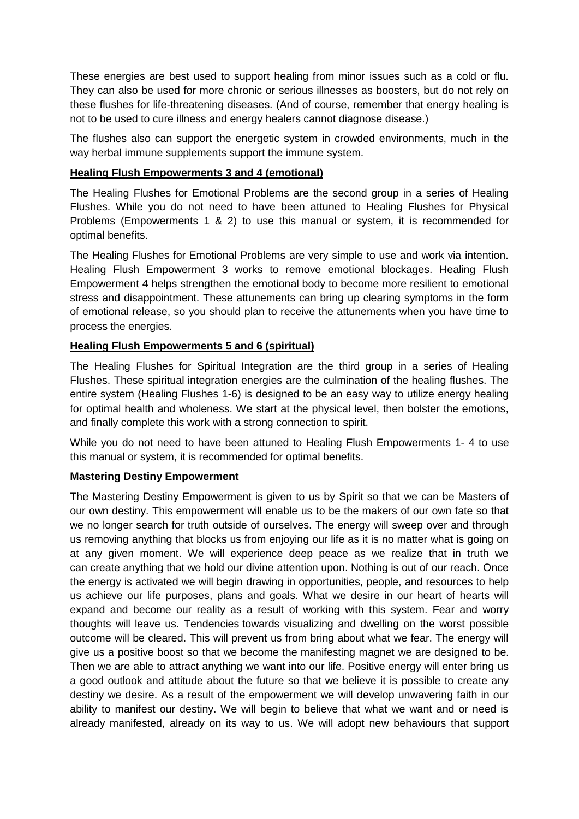These energies are best used to support healing from minor issues such as a cold or flu. They can also be used for more chronic or serious illnesses as boosters, but do not rely on these flushes for life-threatening diseases. (And of course, remember that energy healing is not to be used to cure illness and energy healers cannot diagnose disease.)

The flushes also can support the energetic system in crowded environments, much in the way herbal immune supplements support the immune system.

### **Healing Flush Empowerments 3 and 4 (emotional)**

The Healing Flushes for Emotional Problems are the second group in a series of Healing Flushes. While you do not need to have been attuned to Healing Flushes for Physical Problems (Empowerments 1 & 2) to use this manual or system, it is recommended for optimal benefits.

The Healing Flushes for Emotional Problems are very simple to use and work via intention. Healing Flush Empowerment 3 works to remove emotional blockages. Healing Flush Empowerment 4 helps strengthen the emotional body to become more resilient to emotional stress and disappointment. These attunements can bring up clearing symptoms in the form of emotional release, so you should plan to receive the attunements when you have time to process the energies.

## **Healing Flush Empowerments 5 and 6 (spiritual)**

The Healing Flushes for Spiritual Integration are the third group in a series of Healing Flushes. These spiritual integration energies are the culmination of the healing flushes. The entire system (Healing Flushes 1-6) is designed to be an easy way to utilize energy healing for optimal health and wholeness. We start at the physical level, then bolster the emotions, and finally complete this work with a strong connection to spirit.

While you do not need to have been attuned to Healing Flush Empowerments 1- 4 to use this manual or system, it is recommended for optimal benefits.

## **Mastering Destiny Empowerment**

The Mastering Destiny Empowerment is given to us by Spirit so that we can be Masters of our own destiny. This empowerment will enable us to be the makers of our own fate so that we no longer search for truth outside of ourselves. The energy will sweep over and through us removing anything that blocks us from enjoying our life as it is no matter what is going on at any given moment. We will experience deep peace as we realize that in truth we can create anything that we hold our divine attention upon. Nothing is out of our reach. Once the energy is activated we will begin drawing in opportunities, people, and resources to help us achieve our life purposes, plans and goals. What we desire in our heart of hearts will expand and become our reality as a result of working with this system. Fear and worry thoughts will leave us. Tendencies towards visualizing and dwelling on the worst possible outcome will be cleared. This will prevent us from bring about what we fear. The energy will give us a positive boost so that we become the manifesting magnet we are designed to be. Then we are able to attract anything we want into our life. Positive energy will enter bring us a good outlook and attitude about the future so that we believe it is possible to create any destiny we desire. As a result of the empowerment we will develop unwavering faith in our ability to manifest our destiny. We will begin to believe that what we want and or need is already manifested, already on its way to us. We will adopt new behaviours that support